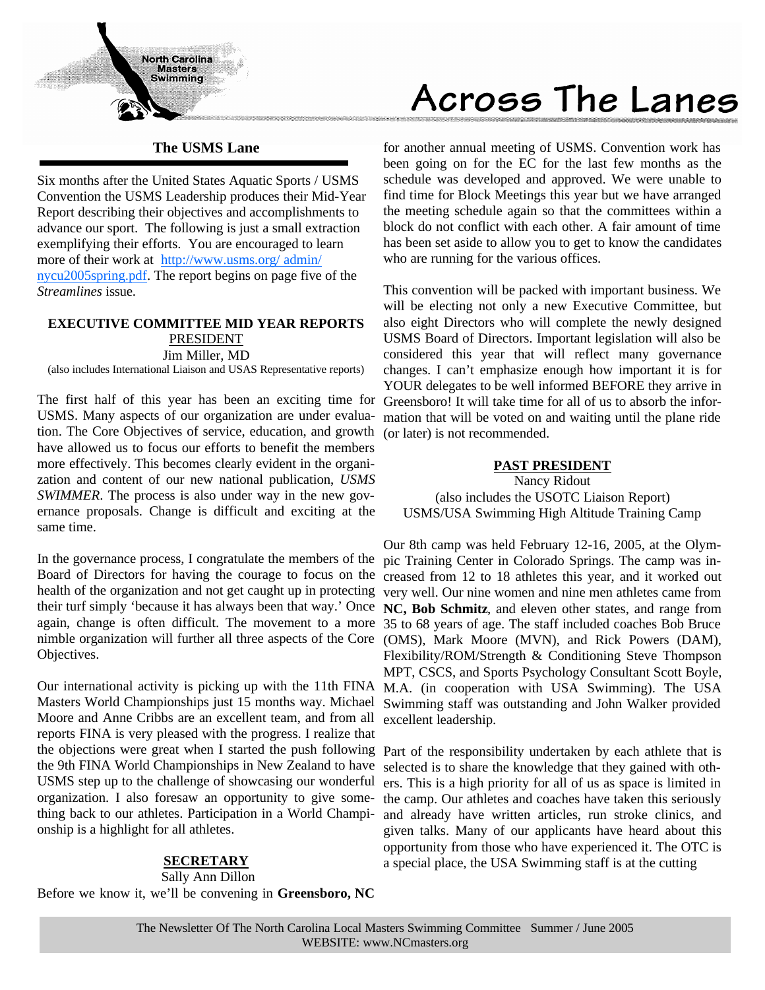

#### **The USMS Lane**

Six months after the United States Aquatic Sports / USMS Convention the USMS Leadership produces their Mid-Year Report describing their objectives and accomplishments to advance our sport. The following is just a small extraction exemplifying their efforts. You are encouraged to learn more of their work at http://www.usms.org/ admin/ nycu2005spring.pdf. The report begins on page five of the *Streamlines* issue.

#### **EXECUTIVE COMMITTEE MID YEAR REPORTS** PRESIDENT Jim Miller, MD

(also includes International Liaison and USAS Representative reports)

USMS. Many aspects of our organization are under evaluation. The Core Objectives of service, education, and growth (or later) is not recommended. have allowed us to focus our efforts to benefit the members more effectively. This becomes clearly evident in the organization and content of our new national publication, *USMS SWIMMER*. The process is also under way in the new governance proposals. Change is difficult and exciting at the same time.

Board of Directors for having the courage to focus on the creased from 12 to 18 athletes this year, and it worked out their turf simply 'because it has always been that way.' Once **NC, Bob Schmitz**, and eleven other states, and range from nimble organization will further all three aspects of the Core (OMS), Mark Moore (MVN), and Rick Powers (DAM), Objectives.

Moore and Anne Cribbs are an excellent team, and from all excellent leadership. reports FINA is very pleased with the progress. I realize that the objections were great when I started the push following Part of the responsibility undertaken by each athlete that is the 9th FINA World Championships in New Zealand to have USMS step up to the challenge of showcasing our wonderful organization. I also foresaw an opportunity to give something back to our athletes. Participation in a World Championship is a highlight for all athletes.

#### **SECRETARY**

Sally Ann Dillon

Before we know it, we'll be convening in **Greensboro, NC** 

# Across The Lanes

for another annual meeting of USMS. Convention work has been going on for the EC for the last few months as the schedule was developed and approved. We were unable to find time for Block Meetings this year but we have arranged the meeting schedule again so that the committees within a block do not conflict with each other. A fair amount of time has been set aside to allow you to get to know the candidates who are running for the various offices.

The first half of this year has been an exciting time for Greensboro! It will take time for all of us to absorb the infor-This convention will be packed with important business. We will be electing not only a new Executive Committee, but also eight Directors who will complete the newly designed USMS Board of Directors. Important legislation will also be considered this year that will reflect many governance changes. I can't emphasize enough how important it is for YOUR delegates to be well informed BEFORE they arrive in mation that will be voted on and waiting until the plane ride

#### **PAST PRESIDENT**

Nancy Ridout (also includes the USOTC Liaison Report) USMS/USA Swimming High Altitude Training Camp

In the governance process, I congratulate the members of the pic Training Center in Colorado Springs. The camp was inhealth of the organization and not get caught up in protecting very well. Our nine women and nine men athletes came from again, change is often difficult. The movement to a more 35 to 68 years of age. The staff included coaches Bob Bruce Our international activity is picking up with the 11th FINA M.A. (in cooperation with USA Swimming). The USA Masters World Championships just 15 months way. Michael Swimming staff was outstanding and John Walker provided Our 8th camp was held February 12-16, 2005, at the Olym-Flexibility/ROM/Strength & Conditioning Steve Thompson MPT, CSCS, and Sports Psychology Consultant Scott Boyle,

> selected is to share the knowledge that they gained with others. This is a high priority for all of us as space is limited in the camp. Our athletes and coaches have taken this seriously and already have written articles, run stroke clinics, and given talks. Many of our applicants have heard about this opportunity from those who have experienced it. The OTC is a special place, the USA Swimming staff is at the cutting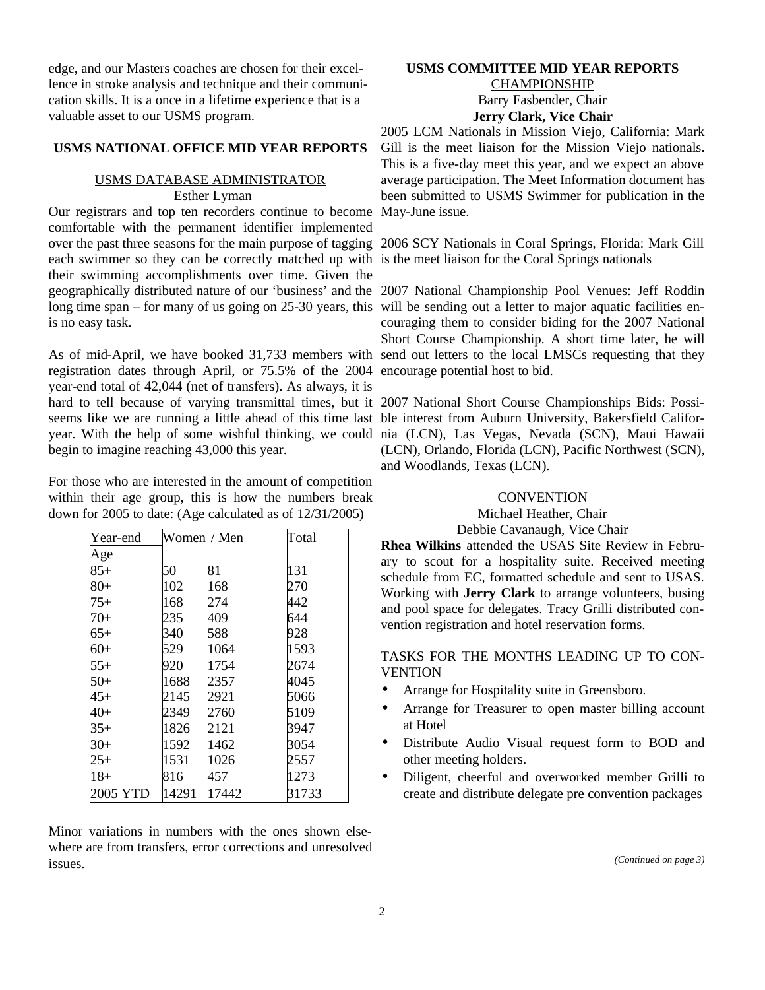edge, and our Masters coaches are chosen for their excellence in stroke analysis and technique and their communication skills. It is a once in a lifetime experience that is a valuable asset to our USMS program.

#### **USMS NATIONAL OFFICE MID YEAR REPORTS**

### USMS DATABASE ADMINISTRATOR

Esther Lyman

Our registrars and top ten recorders continue to become May-June issue. comfortable with the permanent identifier implemented each swimmer so they can be correctly matched up with is the meet liaison for the Coral Springs nationals their swimming accomplishments over time. Given the geographically distributed nature of our 'business' and the 2007 National Championship Pool Venues: Jeff Roddin long time span – for many of us going on 25-30 years, this will be sending out a letter to major aquatic facilities enis no easy task.

registration dates through April, or 75.5% of the 2004 encourage potential host to bid. year-end total of 42,044 (net of transfers). As always, it is hard to tell because of varying transmittal times, but it 2007 National Short Course Championships Bids: Possiseems like we are running a little ahead of this time last ble interest from Auburn University, Bakersfield Califoryear. With the help of some wishful thinking, we could nia (LCN), Las Vegas, Nevada (SCN), Maui Hawaii begin to imagine reaching 43,000 this year.

For those who are interested in the amount of competition within their age group, this is how the numbers break down for 2005 to date: (Age calculated as of 12/31/2005)

| Year-end |      | Women / Men | Total |
|----------|------|-------------|-------|
| Age      |      |             |       |
| $85+$    | 50   | 81          | 131   |
| $80 +$   | 102  | 168         | 270   |
| $75+$    | 168  | 274         | 442   |
| $70+$    | 235  | 409         | 644   |
| 65+      | 340  | 588         | 928   |
| $60+$    | 529  | 1064        | 1593  |
| $55+$    | 920  | 1754        | 2674  |
| $50+$    | 1688 | 2357        | 4045  |
| 45+      | 2145 | 2921        | 5066  |
| 40+      | 2349 | 2760        | 5109  |
| 35+      | 1826 | 2121        | 3947  |
| $30+$    | 1592 | 1462        | 3054  |
| $25+$    | 1531 | 1026        | 2557  |
| $18+$    | 816  | 457         | 1273  |
| 2005 YTD |      | 14291 17442 | 31733 |

Minor variations in numbers with the ones shown elsewhere are from transfers, error corrections and unresolved issues.

#### **USMS COMMITTEE MID YEAR REPORTS** CHAMPIONSHIP Barry Fasbender, Chair **Jerry Clark, Vice Chair**

2005 LCM Nationals in Mission Viejo, California: Mark Gill is the meet liaison for the Mission Viejo nationals. This is a five-day meet this year, and we expect an above average participation. The Meet Information document has been submitted to USMS Swimmer for publication in the

over the past three seasons for the main purpose of tagging 2006 SCY Nationals in Coral Springs, Florida: Mark Gill

As of mid-April, we have booked 31,733 members with send out letters to the local LMSCs requesting that they couraging them to consider biding for the 2007 National Short Course Championship. A short time later, he will

> (LCN), Orlando, Florida (LCN), Pacific Northwest (SCN), and Woodlands, Texas (LCN).

#### **CONVENTION**

Michael Heather, Chair Debbie Cavanaugh, Vice Chair

**Rhea Wilkins** attended the USAS Site Review in February to scout for a hospitality suite. Received meeting schedule from EC, formatted schedule and sent to USAS. Working with **Jerry Clark** to arrange volunteers, busing and pool space for delegates. Tracy Grilli distributed convention registration and hotel reservation forms.

#### TASKS FOR THE MONTHS LEADING UP TO CON-**VENTION**

- Arrange for Hospitality suite in Greensboro.
- Arrange for Treasurer to open master billing account at Hotel
- Distribute Audio Visual request form to BOD and other meeting holders.
- Diligent, cheerful and overworked member Grilli to create and distribute delegate pre convention packages

*(Continued on page 3)*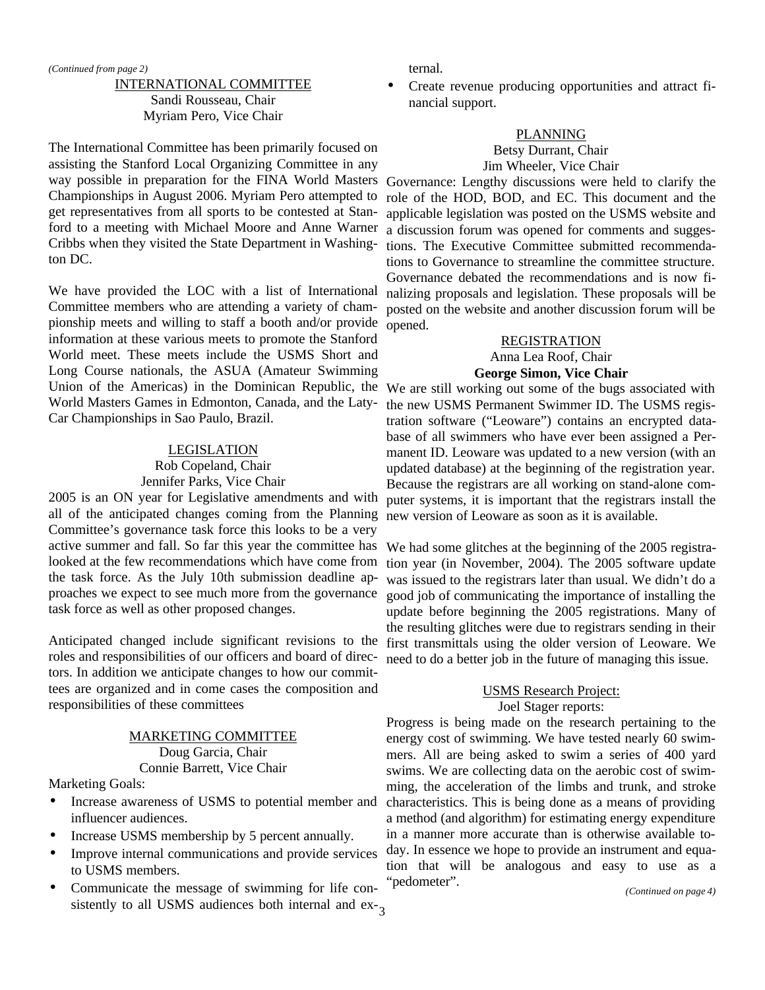#### INTERNATIONAL COMMITTEE Sandi Rousseau, Chair Myriam Pero, Vice Chair

The International Committee has been primarily focused on assisting the Stanford Local Organizing Committee in any way possible in preparation for the FINA World Masters Championships in August 2006. Myriam Pero attempted to get representatives from all sports to be contested at Stanford to a meeting with Michael Moore and Anne Warner Cribbs when they visited the State Department in Washington DC.

We have provided the LOC with a list of International Committee members who are attending a variety of championship meets and willing to staff a booth and/or provide information at these various meets to promote the Stanford World meet. These meets include the USMS Short and Long Course nationals, the ASUA (Amateur Swimming Union of the Americas) in the Dominican Republic, the We are still working out some of the bugs associated with World Masters Games in Edmonton, Canada, and the Laty-Car Championships in Sao Paulo, Brazil.

#### LEGISLATION

#### Rob Copeland, Chair Jennifer Parks, Vice Chair

2005 is an ON year for Legislative amendments and with all of the anticipated changes coming from the Planning Committee's governance task force this looks to be a very active summer and fall. So far this year the committee has looked at the few recommendations which have come from the task force. As the July 10th submission deadline approaches we expect to see much more from the governance task force as well as other proposed changes.

Anticipated changed include significant revisions to the roles and responsibilities of our officers and board of directors. In addition we anticipate changes to how our committees are organized and in come cases the composition and responsibilities of these committees

#### MARKETING COMMITTEE Doug Garcia, Chair Connie Barrett, Vice Chair

Marketing Goals:

- Increase awareness of USMS to potential member and influencer audiences.
- Increase USMS membership by 5 percent annually.
- Improve internal communications and provide services to USMS members.
- sistently to all USMS audiences both internal and ex-<sub>3</sub> • Communicate the message of swimming for life con-

ternal.

• Create revenue producing opportunities and attract financial support.

#### PLANNING

#### Betsy Durrant, Chair Jim Wheeler, Vice Chair

Governance: Lengthy discussions were held to clarify the role of the HOD, BOD, and EC. This document and the applicable legislation was posted on the USMS website and a discussion forum was opened for comments and suggestions. The Executive Committee submitted recommendations to Governance to streamline the committee structure. Governance debated the recommendations and is now finalizing proposals and legislation. These proposals will be posted on the website and another discussion forum will be opened.

#### REGISTRATION

Anna Lea Roof, Chair **George Simon, Vice Chair**

the new USMS Permanent Swimmer ID. The USMS registration software ("Leoware") contains an encrypted database of all swimmers who have ever been assigned a Permanent ID. Leoware was updated to a new version (with an updated database) at the beginning of the registration year. Because the registrars are all working on stand-alone computer systems, it is important that the registrars install the new version of Leoware as soon as it is available.

We had some glitches at the beginning of the 2005 registration year (in November, 2004). The 2005 software update was issued to the registrars later than usual. We didn't do a good job of communicating the importance of installing the update before beginning the 2005 registrations. Many of the resulting glitches were due to registrars sending in their first transmittals using the older version of Leoware. We need to do a better job in the future of managing this issue.

#### USMS Research Project: Joel Stager reports:

Progress is being made on the research pertaining to the energy cost of swimming. We have tested nearly 60 swimmers. All are being asked to swim a series of 400 yard swims. We are collecting data on the aerobic cost of swimming, the acceleration of the limbs and trunk, and stroke characteristics. This is being done as a means of providing a method (and algorithm) for estimating energy expenditure in a manner more accurate than is otherwise available today. In essence we hope to provide an instrument and equation that will be analogous and easy to use as a "pedometer".

*(Continued on page 4)*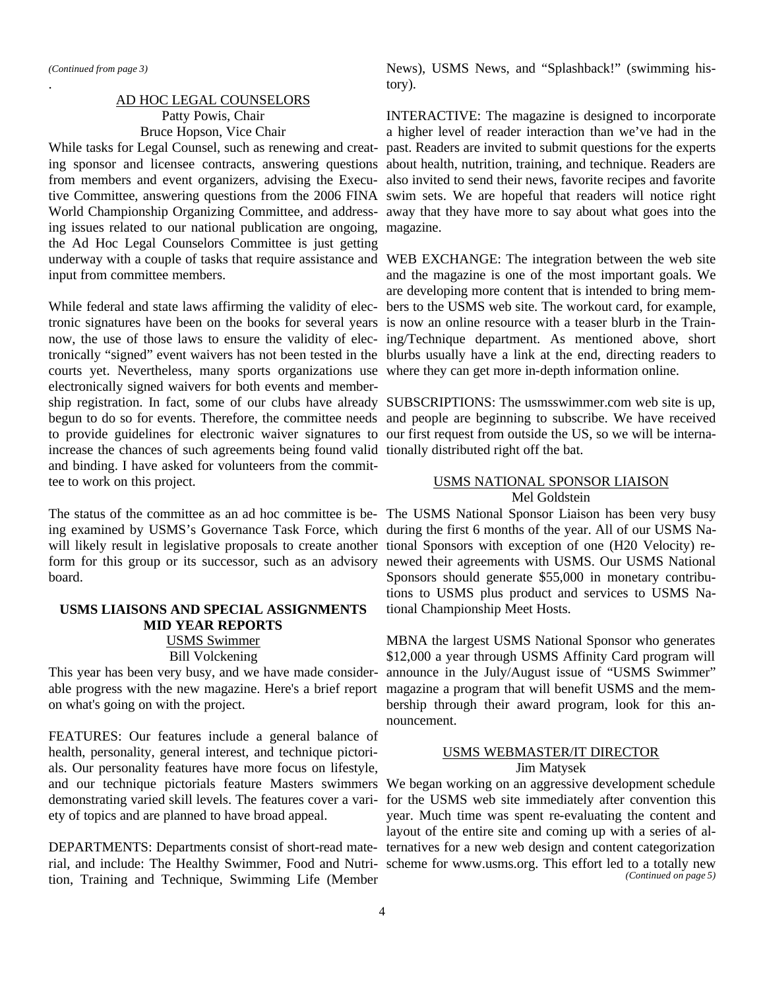.

#### AD HOC LEGAL COUNSELORS Patty Powis, Chair Bruce Hopson, Vice Chair

While tasks for Legal Counsel, such as renewing and creating issues related to our national publication are ongoing, magazine. the Ad Hoc Legal Counselors Committee is just getting input from committee members.

While federal and state laws affirming the validity of electronic signatures have been on the books for several years is now an online resource with a teaser blurb in the Traincourts yet. Nevertheless, many sports organizations use where they can get more in-depth information online. electronically signed waivers for both events and membership registration. In fact, some of our clubs have already SUBSCRIPTIONS: The usmsswimmer.com web site is up, begun to do so for events. Therefore, the committee needs and people are beginning to subscribe. We have received to provide guidelines for electronic waiver signatures to our first request from outside the US, so we will be internaincrease the chances of such agreements being found valid tionally distributed right off the bat. and binding. I have asked for volunteers from the committee to work on this project.

ing examined by USMS's Governance Task Force, which during the first 6 months of the year. All of our USMS Nawill likely result in legislative proposals to create another tional Sponsors with exception of one (H20 Velocity) reform for this group or its successor, such as an advisory newed their agreements with USMS. Our USMS National board.

#### **USMS LIAISONS AND SPECIAL ASSIGNMENTS MID YEAR REPORTS**

#### USMS Swimmer Bill Volckening

This year has been very busy, and we have made considerable progress with the new magazine. Here's a brief report on what's going on with the project.

FEATURES: Our features include a general balance of health, personality, general interest, and technique pictorials. Our personality features have more focus on lifestyle, demonstrating varied skill levels. The features cover a variety of topics and are planned to have broad appeal.

DEPARTMENTS: Departments consist of short-read matetion, Training and Technique, Swimming Life (Member

News), USMS News, and "Splashback!" (swimming history).

ing sponsor and licensee contracts, answering questions about health, nutrition, training, and technique. Readers are from members and event organizers, advising the Execu- also invited to send their news, favorite recipes and favorite tive Committee, answering questions from the 2006 FINA swim sets. We are hopeful that readers will notice right World Championship Organizing Committee, and address-away that they have more to say about what goes into the INTERACTIVE: The magazine is designed to incorporate a higher level of reader interaction than we've had in the past. Readers are invited to submit questions for the experts

underway with a couple of tasks that require assistance and WEB EXCHANGE: The integration between the web site now, the use of those laws to ensure the validity of elec-ing/Technique department. As mentioned above, short tronically "signed" event waivers has not been tested in the blurbs usually have a link at the end, directing readers to and the magazine is one of the most important goals. We are developing more content that is intended to bring members to the USMS web site. The workout card, for example,

#### USMS NATIONAL SPONSOR LIAISON Mel Goldstein

The status of the committee as an ad hoc committee is be-The USMS National Sponsor Liaison has been very busy Sponsors should generate \$55,000 in monetary contributions to USMS plus product and services to USMS National Championship Meet Hosts.

> MBNA the largest USMS National Sponsor who generates \$12,000 a year through USMS Affinity Card program will announce in the July/August issue of "USMS Swimmer" magazine a program that will benefit USMS and the membership through their award program, look for this announcement.

#### USMS WEBMASTER/IT DIRECTOR Jim Matysek

and our technique pictorials feature Masters swimmers We began working on an aggressive development schedule rial, and include: The Healthy Swimmer, Food and Nutri-scheme for www.usms.org. This effort led to a totally new for the USMS web site immediately after convention this year. Much time was spent re-evaluating the content and layout of the entire site and coming up with a series of alternatives for a new web design and content categorization *(Continued on page 5)*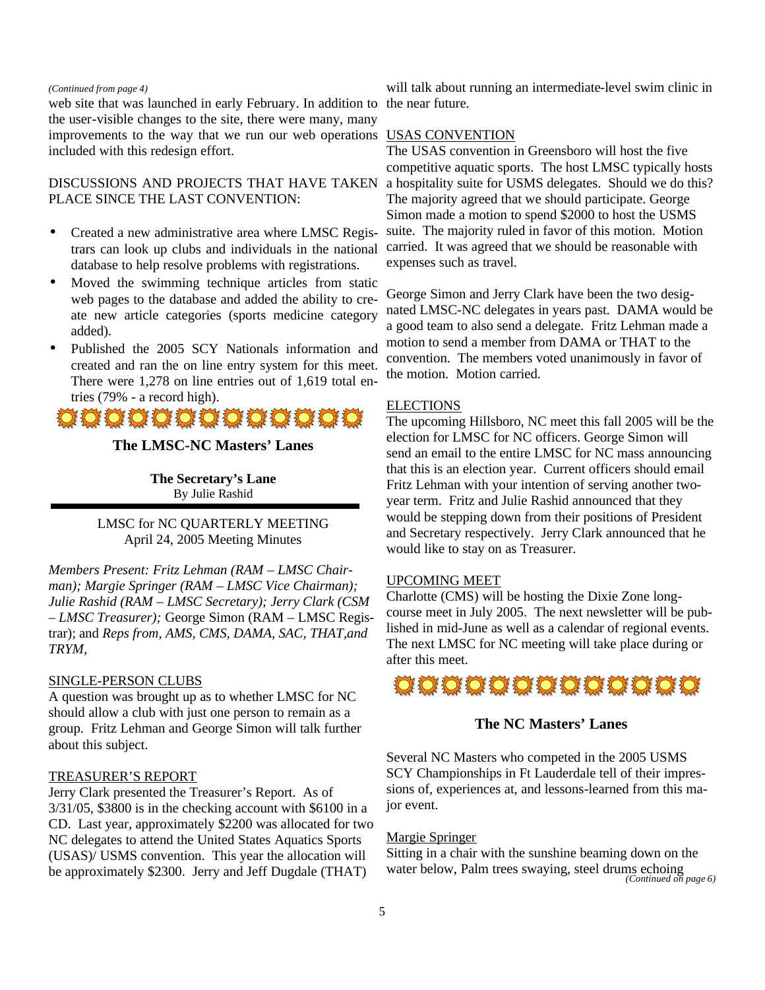#### *(Continued from page 4)*

web site that was launched in early February. In addition to the user-visible changes to the site, there were many, many improvements to the way that we run our web operations USAS CONVENTION included with this redesign effort.

#### DISCUSSIONS AND PROJECTS THAT HAVE TAKEN PLACE SINCE THE LAST CONVENTION:

- Created a new administrative area where LMSC Registrars can look up clubs and individuals in the national database to help resolve problems with registrations.
- Moved the swimming technique articles from static web pages to the database and added the ability to create new article categories (sports medicine category added).
- Published the 2005 SCY Nationals information and created and ran the on line entry system for this meet. There were 1,278 on line entries out of 1,619 total entries (79% - a record high).

### O O O O O O O O O O O O

#### **The LMSC-NC Masters' Lanes**

**The Secretary's Lane** By Julie Rashid

LMSC for NC QUARTERLY MEETING April 24, 2005 Meeting Minutes

*Members Present: Fritz Lehman (RAM – LMSC Chairman); Margie Springer (RAM – LMSC Vice Chairman); Julie Rashid (RAM – LMSC Secretary); Jerry Clark (CSM – LMSC Treasurer);* George Simon (RAM – LMSC Registrar); and *Reps from, AMS, CMS, DAMA, SAC, THAT,and TRYM,* 

#### SINGLE-PERSON CLUBS

A question was brought up as to whether LMSC for NC should allow a club with just one person to remain as a group. Fritz Lehman and George Simon will talk further about this subject.

#### TREASURER'S REPORT

Jerry Clark presented the Treasurer's Report. As of 3/31/05, \$3800 is in the checking account with \$6100 in a CD. Last year, approximately \$2200 was allocated for two NC delegates to attend the United States Aquatics Sports (USAS)/ USMS convention. This year the allocation will be approximately \$2300. Jerry and Jeff Dugdale (THAT)

will talk about running an intermediate-level swim clinic in the near future.

The USAS convention in Greensboro will host the five competitive aquatic sports. The host LMSC typically hosts a hospitality suite for USMS delegates. Should we do this? The majority agreed that we should participate. George Simon made a motion to spend \$2000 to host the USMS suite. The majority ruled in favor of this motion. Motion carried. It was agreed that we should be reasonable with expenses such as travel.

George Simon and Jerry Clark have been the two designated LMSC-NC delegates in years past. DAMA would be a good team to also send a delegate. Fritz Lehman made a motion to send a member from DAMA or THAT to the convention. The members voted unanimously in favor of the motion. Motion carried.

#### **ELECTIONS**

The upcoming Hillsboro, NC meet this fall 2005 will be the election for LMSC for NC officers. George Simon will send an email to the entire LMSC for NC mass announcing that this is an election year. Current officers should email Fritz Lehman with your intention of serving another twoyear term. Fritz and Julie Rashid announced that they would be stepping down from their positions of President and Secretary respectively. Jerry Clark announced that he would like to stay on as Treasurer.

#### UPCOMING MEET

Charlotte (CMS) will be hosting the Dixie Zone longcourse meet in July 2005. The next newsletter will be published in mid-June as well as a calendar of regional events. The next LMSC for NC meeting will take place during or after this meet.

### O O O O O O O O O O O O O

#### **The NC Masters' Lanes**

Several NC Masters who competed in the 2005 USMS SCY Championships in Ft Lauderdale tell of their impressions of, experiences at, and lessons-learned from this major event.

#### Margie Springer

Sitting in a chair with the sunshine beaming down on the water below, Palm trees swaying, steel drums echoing *(Continued on page 6)*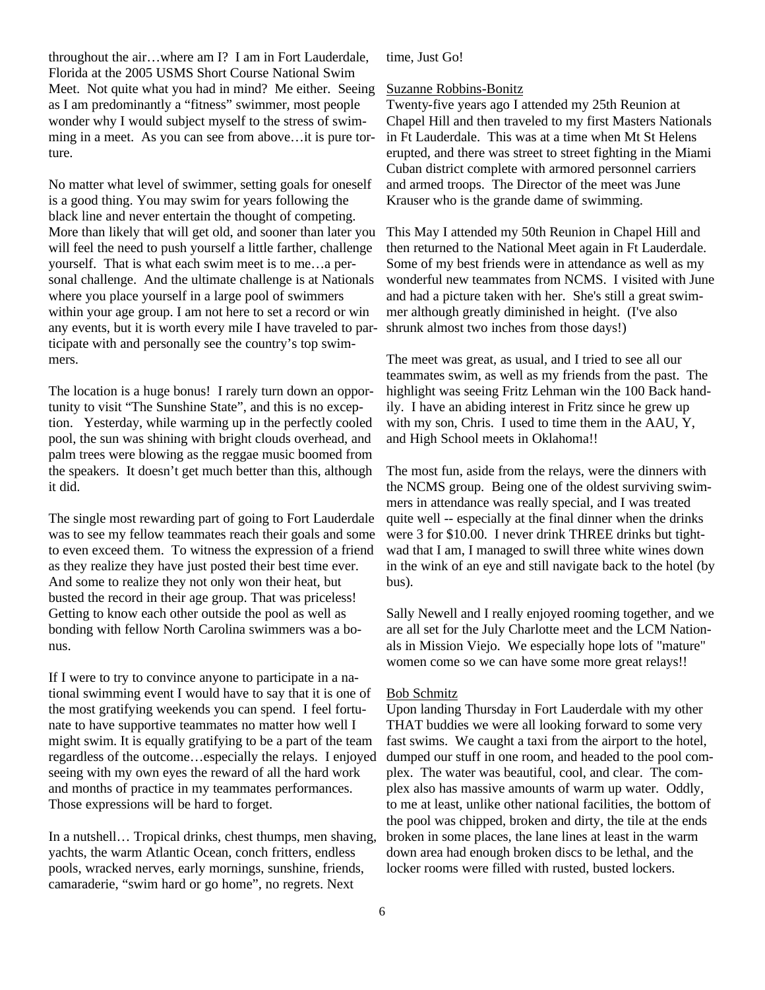throughout the air…where am I? I am in Fort Lauderdale, Florida at the 2005 USMS Short Course National Swim Meet. Not quite what you had in mind? Me either. Seeing as I am predominantly a "fitness" swimmer, most people wonder why I would subject myself to the stress of swimming in a meet. As you can see from above…it is pure torture.

No matter what level of swimmer, setting goals for oneself is a good thing. You may swim for years following the black line and never entertain the thought of competing. More than likely that will get old, and sooner than later you will feel the need to push yourself a little farther, challenge yourself. That is what each swim meet is to me…a personal challenge. And the ultimate challenge is at Nationals where you place yourself in a large pool of swimmers within your age group. I am not here to set a record or win any events, but it is worth every mile I have traveled to participate with and personally see the country's top swimmers.

The location is a huge bonus! I rarely turn down an opportunity to visit "The Sunshine State", and this is no exception. Yesterday, while warming up in the perfectly cooled pool, the sun was shining with bright clouds overhead, and palm trees were blowing as the reggae music boomed from the speakers. It doesn't get much better than this, although it did.

The single most rewarding part of going to Fort Lauderdale was to see my fellow teammates reach their goals and some to even exceed them. To witness the expression of a friend as they realize they have just posted their best time ever. And some to realize they not only won their heat, but busted the record in their age group. That was priceless! Getting to know each other outside the pool as well as bonding with fellow North Carolina swimmers was a bonus.

If I were to try to convince anyone to participate in a national swimming event I would have to say that it is one of the most gratifying weekends you can spend. I feel fortunate to have supportive teammates no matter how well I might swim. It is equally gratifying to be a part of the team regardless of the outcome…especially the relays. I enjoyed seeing with my own eyes the reward of all the hard work and months of practice in my teammates performances. Those expressions will be hard to forget.

In a nutshell… Tropical drinks, chest thumps, men shaving, yachts, the warm Atlantic Ocean, conch fritters, endless pools, wracked nerves, early mornings, sunshine, friends, camaraderie, "swim hard or go home", no regrets. Next

time, Just Go!

#### Suzanne Robbins-Bonitz

Twenty-five years ago I attended my 25th Reunion at Chapel Hill and then traveled to my first Masters Nationals in Ft Lauderdale. This was at a time when Mt St Helens erupted, and there was street to street fighting in the Miami Cuban district complete with armored personnel carriers and armed troops. The Director of the meet was June Krauser who is the grande dame of swimming.

This May I attended my 50th Reunion in Chapel Hill and then returned to the National Meet again in Ft Lauderdale. Some of my best friends were in attendance as well as my wonderful new teammates from NCMS. I visited with June and had a picture taken with her. She's still a great swimmer although greatly diminished in height. (I've also shrunk almost two inches from those days!)

The meet was great, as usual, and I tried to see all our teammates swim, as well as my friends from the past. The highlight was seeing Fritz Lehman win the 100 Back handily. I have an abiding interest in Fritz since he grew up with my son, Chris. I used to time them in the AAU, Y, and High School meets in Oklahoma!!

The most fun, aside from the relays, were the dinners with the NCMS group. Being one of the oldest surviving swimmers in attendance was really special, and I was treated quite well -- especially at the final dinner when the drinks were 3 for \$10.00. I never drink THREE drinks but tightwad that I am, I managed to swill three white wines down in the wink of an eye and still navigate back to the hotel (by bus).

Sally Newell and I really enjoyed rooming together, and we are all set for the July Charlotte meet and the LCM Nationals in Mission Viejo. We especially hope lots of "mature" women come so we can have some more great relays!!

#### Bob Schmitz

Upon landing Thursday in Fort Lauderdale with my other THAT buddies we were all looking forward to some very fast swims. We caught a taxi from the airport to the hotel, dumped our stuff in one room, and headed to the pool complex. The water was beautiful, cool, and clear. The complex also has massive amounts of warm up water. Oddly, to me at least, unlike other national facilities, the bottom of the pool was chipped, broken and dirty, the tile at the ends broken in some places, the lane lines at least in the warm down area had enough broken discs to be lethal, and the locker rooms were filled with rusted, busted lockers.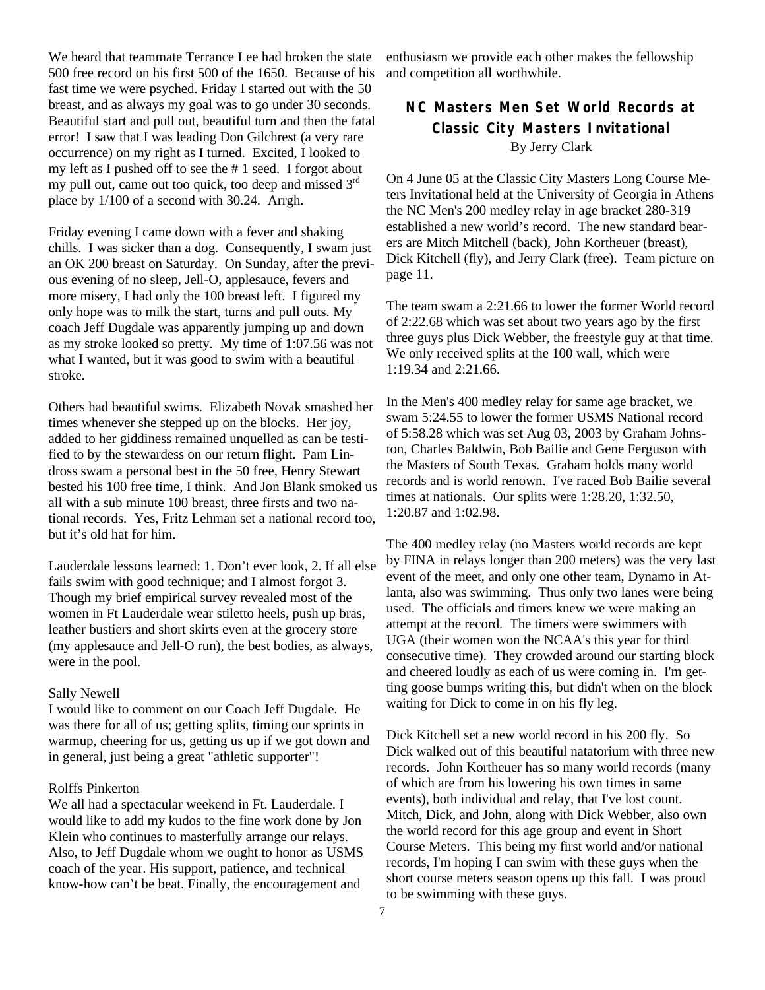We heard that teammate Terrance Lee had broken the state 500 free record on his first 500 of the 1650. Because of his fast time we were psyched. Friday I started out with the 50 breast, and as always my goal was to go under 30 seconds. Beautiful start and pull out, beautiful turn and then the fatal error! I saw that I was leading Don Gilchrest (a very rare occurrence) on my right as I turned. Excited, I looked to my left as I pushed off to see the # 1 seed. I forgot about my pull out, came out too quick, too deep and missed  $3<sup>rd</sup>$ place by 1/100 of a second with 30.24. Arrgh.

Friday evening I came down with a fever and shaking chills. I was sicker than a dog. Consequently, I swam just an OK 200 breast on Saturday. On Sunday, after the previous evening of no sleep, Jell-O, applesauce, fevers and more misery, I had only the 100 breast left. I figured my only hope was to milk the start, turns and pull outs. My coach Jeff Dugdale was apparently jumping up and down as my stroke looked so pretty. My time of 1:07.56 was not what I wanted, but it was good to swim with a beautiful stroke.

Others had beautiful swims. Elizabeth Novak smashed her times whenever she stepped up on the blocks. Her joy, added to her giddiness remained unquelled as can be testified to by the stewardess on our return flight. Pam Lindross swam a personal best in the 50 free, Henry Stewart bested his 100 free time, I think. And Jon Blank smoked us all with a sub minute 100 breast, three firsts and two national records. Yes, Fritz Lehman set a national record too, but it's old hat for him.

Lauderdale lessons learned: 1. Don't ever look, 2. If all else fails swim with good technique; and I almost forgot 3. Though my brief empirical survey revealed most of the women in Ft Lauderdale wear stiletto heels, push up bras, leather bustiers and short skirts even at the grocery store (my applesauce and Jell-O run), the best bodies, as always, were in the pool.

#### Sally Newell

I would like to comment on our Coach Jeff Dugdale. He was there for all of us; getting splits, timing our sprints in warmup, cheering for us, getting us up if we got down and in general, just being a great "athletic supporter"!

#### Rolffs Pinkerton

We all had a spectacular weekend in Ft. Lauderdale. I would like to add my kudos to the fine work done by Jon Klein who continues to masterfully arrange our relays. Also, to Jeff Dugdale whom we ought to honor as USMS coach of the year. His support, patience, and technical know-how can't be beat. Finally, the encouragement and

enthusiasm we provide each other makes the fellowship and competition all worthwhile.

### **NC Masters Men Set World Records at Classic City Masters Invitational** By Jerry Clark

On 4 June 05 at the Classic City Masters Long Course Meters Invitational held at the University of Georgia in Athens the NC Men's 200 medley relay in age bracket 280-319 established a new world's record. The new standard bearers are Mitch Mitchell (back), John Kortheuer (breast), Dick Kitchell (fly), and Jerry Clark (free). Team picture on page 11.

The team swam a 2:21.66 to lower the former World record of 2:22.68 which was set about two years ago by the first three guys plus Dick Webber, the freestyle guy at that time. We only received splits at the 100 wall, which were 1:19.34 and 2:21.66.

In the Men's 400 medley relay for same age bracket, we swam 5:24.55 to lower the former USMS National record of 5:58.28 which was set Aug 03, 2003 by Graham Johnston, Charles Baldwin, Bob Bailie and Gene Ferguson with the Masters of South Texas. Graham holds many world records and is world renown. I've raced Bob Bailie several times at nationals. Our splits were 1:28.20, 1:32.50, 1:20.87 and 1:02.98.

The 400 medley relay (no Masters world records are kept by FINA in relays longer than 200 meters) was the very last event of the meet, and only one other team, Dynamo in Atlanta, also was swimming. Thus only two lanes were being used. The officials and timers knew we were making an attempt at the record. The timers were swimmers with UGA (their women won the NCAA's this year for third consecutive time). They crowded around our starting block and cheered loudly as each of us were coming in. I'm getting goose bumps writing this, but didn't when on the block waiting for Dick to come in on his fly leg.

Dick Kitchell set a new world record in his 200 fly. So Dick walked out of this beautiful natatorium with three new records. John Kortheuer has so many world records (many of which are from his lowering his own times in same events), both individual and relay, that I've lost count. Mitch, Dick, and John, along with Dick Webber, also own the world record for this age group and event in Short Course Meters. This being my first world and/or national records, I'm hoping I can swim with these guys when the short course meters season opens up this fall. I was proud to be swimming with these guys.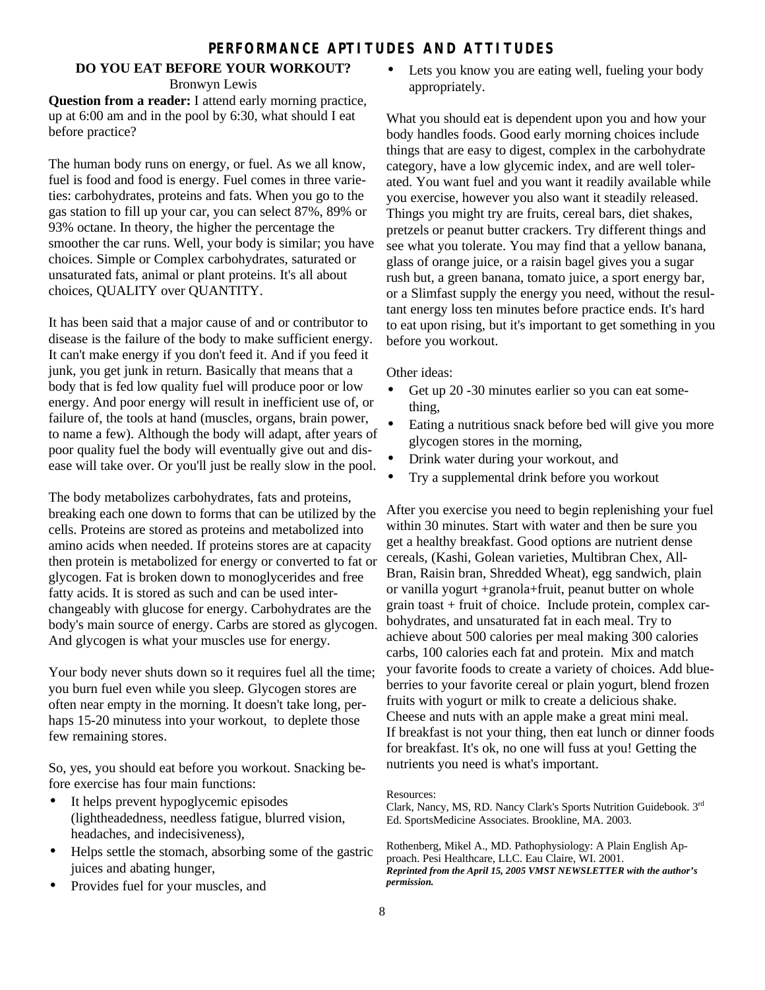#### **PERFORMANCE APTITUDES AND ATTITUDES**

### **DO YOU EAT BEFORE YOUR WORKOUT?**

Bronwyn Lewis

**Question from a reader:** I attend early morning practice, up at 6:00 am and in the pool by 6:30, what should I eat before practice?

The human body runs on energy, or fuel. As we all know, fuel is food and food is energy. Fuel comes in three varieties: carbohydrates, proteins and fats. When you go to the gas station to fill up your car, you can select 87%, 89% or 93% octane. In theory, the higher the percentage the smoother the car runs. Well, your body is similar; you have choices. Simple or Complex carbohydrates, saturated or unsaturated fats, animal or plant proteins. It's all about choices, QUALITY over QUANTITY.

It has been said that a major cause of and or contributor to disease is the failure of the body to make sufficient energy. It can't make energy if you don't feed it. And if you feed it junk, you get junk in return. Basically that means that a body that is fed low quality fuel will produce poor or low energy. And poor energy will result in inefficient use of, or failure of, the tools at hand (muscles, organs, brain power, to name a few). Although the body will adapt, after years of poor quality fuel the body will eventually give out and disease will take over. Or you'll just be really slow in the pool.

The body metabolizes carbohydrates, fats and proteins, breaking each one down to forms that can be utilized by the cells. Proteins are stored as proteins and metabolized into amino acids when needed. If proteins stores are at capacity then protein is metabolized for energy or converted to fat or glycogen. Fat is broken down to monoglycerides and free fatty acids. It is stored as such and can be used interchangeably with glucose for energy. Carbohydrates are the body's main source of energy. Carbs are stored as glycogen. And glycogen is what your muscles use for energy.

Your body never shuts down so it requires fuel all the time; you burn fuel even while you sleep. Glycogen stores are often near empty in the morning. It doesn't take long, perhaps 15-20 minutess into your workout, to deplete those few remaining stores.

So, yes, you should eat before you workout. Snacking before exercise has four main functions:

- It helps prevent hypoglycemic episodes (lightheadedness, needless fatigue, blurred vision, headaches, and indecisiveness),
- Helps settle the stomach, absorbing some of the gastric juices and abating hunger,
- Provides fuel for your muscles, and

Lets you know you are eating well, fueling your body appropriately.

What you should eat is dependent upon you and how your body handles foods. Good early morning choices include things that are easy to digest, complex in the carbohydrate category, have a low glycemic index, and are well tolerated. You want fuel and you want it readily available while you exercise, however you also want it steadily released. Things you might try are fruits, cereal bars, diet shakes, pretzels or peanut butter crackers. Try different things and see what you tolerate. You may find that a yellow banana, glass of orange juice, or a raisin bagel gives you a sugar rush but, a green banana, tomato juice, a sport energy bar, or a Slimfast supply the energy you need, without the resultant energy loss ten minutes before practice ends. It's hard to eat upon rising, but it's important to get something in you before you workout.

Other ideas:

- Get up 20 -30 minutes earlier so you can eat something,
- Eating a nutritious snack before bed will give you more glycogen stores in the morning,
- Drink water during your workout, and
- Try a supplemental drink before you workout

After you exercise you need to begin replenishing your fuel within 30 minutes. Start with water and then be sure you get a healthy breakfast. Good options are nutrient dense cereals, (Kashi, Golean varieties, Multibran Chex, All-Bran, Raisin bran, Shredded Wheat), egg sandwich, plain or vanilla yogurt +granola+fruit, peanut butter on whole grain toast + fruit of choice. Include protein, complex carbohydrates, and unsaturated fat in each meal. Try to achieve about 500 calories per meal making 300 calories carbs, 100 calories each fat and protein. Mix and match your favorite foods to create a variety of choices. Add blueberries to your favorite cereal or plain yogurt, blend frozen fruits with yogurt or milk to create a delicious shake. Cheese and nuts with an apple make a great mini meal. If breakfast is not your thing, then eat lunch or dinner foods for breakfast. It's ok, no one will fuss at you! Getting the nutrients you need is what's important.

#### Resources:

Clark, Nancy, MS, RD. Nancy Clark's Sports Nutrition Guidebook. 3rd Ed. SportsMedicine Associates. Brookline, MA. 2003.

Rothenberg, Mikel A., MD. Pathophysiology: A Plain English Approach. Pesi Healthcare, LLC. Eau Claire, WI. 2001. *Reprinted from the April 15, 2005 VMST NEWSLETTER with the author's permission.*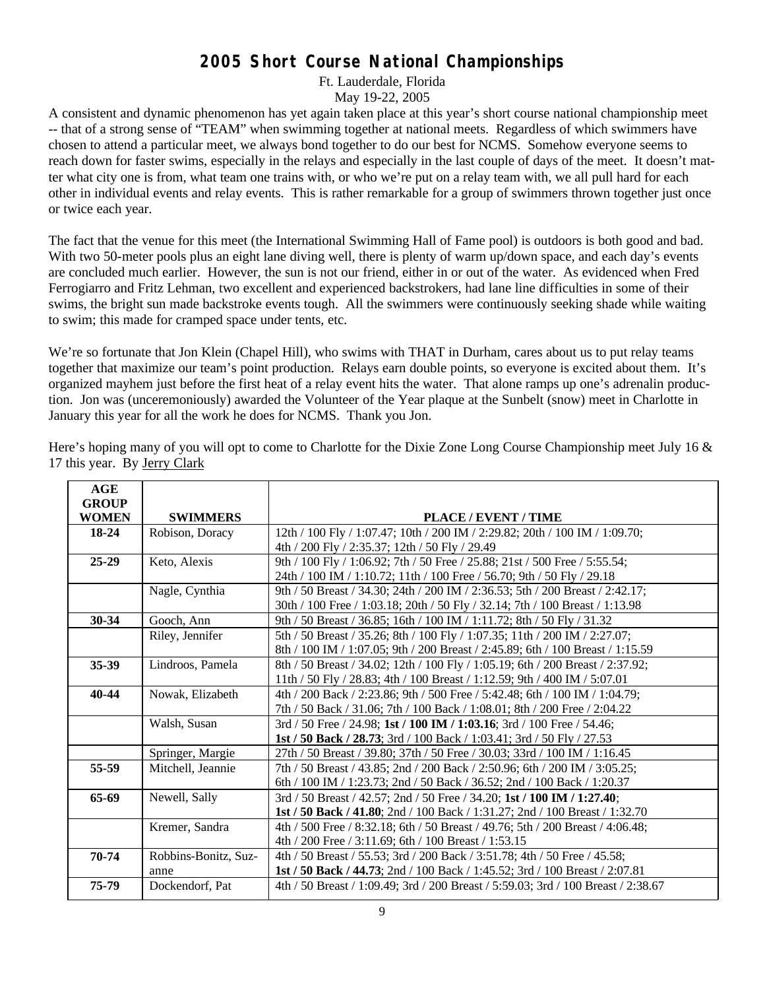### **2005 Short Course National Championships**

Ft. Lauderdale, Florida

May 19-22, 2005

A consistent and dynamic phenomenon has yet again taken place at this year's short course national championship meet -- that of a strong sense of "TEAM" when swimming together at national meets. Regardless of which swimmers have chosen to attend a particular meet, we always bond together to do our best for NCMS. Somehow everyone seems to reach down for faster swims, especially in the relays and especially in the last couple of days of the meet. It doesn't matter what city one is from, what team one trains with, or who we're put on a relay team with, we all pull hard for each other in individual events and relay events. This is rather remarkable for a group of swimmers thrown together just once or twice each year.

The fact that the venue for this meet (the International Swimming Hall of Fame pool) is outdoors is both good and bad. With two 50-meter pools plus an eight lane diving well, there is plenty of warm up/down space, and each day's events are concluded much earlier. However, the sun is not our friend, either in or out of the water. As evidenced when Fred Ferrogiarro and Fritz Lehman, two excellent and experienced backstrokers, had lane line difficulties in some of their swims, the bright sun made backstroke events tough. All the swimmers were continuously seeking shade while waiting to swim; this made for cramped space under tents, etc.

We're so fortunate that Jon Klein (Chapel Hill), who swims with THAT in Durham, cares about us to put relay teams together that maximize our team's point production. Relays earn double points, so everyone is excited about them. It's organized mayhem just before the first heat of a relay event hits the water. That alone ramps up one's adrenalin production. Jon was (unceremoniously) awarded the Volunteer of the Year plaque at the Sunbelt (snow) meet in Charlotte in January this year for all the work he does for NCMS. Thank you Jon.

Here's hoping many of you will opt to come to Charlotte for the Dixie Zone Long Course Championship meet July 16 & 17 this year. By Jerry Clark

| AGE<br><b>GROUP</b> |                      |                                                                                   |
|---------------------|----------------------|-----------------------------------------------------------------------------------|
| <b>WOMEN</b>        | <b>SWIMMERS</b>      | PLACE / EVENT / TIME                                                              |
| 18-24               | Robison, Doracy      | 12th / 100 Fly / 1:07.47; 10th / 200 IM / 2:29.82; 20th / 100 IM / 1:09.70;       |
|                     |                      | 4th / 200 Fly / 2:35.37; 12th / 50 Fly / 29.49                                    |
| 25-29               | Keto, Alexis         | 9th / 100 Fly / 1:06.92; 7th / 50 Free / 25.88; 21st / 500 Free / 5:55.54;        |
|                     |                      | 24th / 100 IM / 1:10.72; 11th / 100 Free / 56.70; 9th / 50 Fly / 29.18            |
|                     | Nagle, Cynthia       | 9th / 50 Breast / 34.30; 24th / 200 IM / 2:36.53; 5th / 200 Breast / 2:42.17;     |
|                     |                      | 30th / 100 Free / 1:03.18; 20th / 50 Fly / 32.14; 7th / 100 Breast / 1:13.98      |
| 30-34               | Gooch, Ann           | 9th / 50 Breast / 36.85; 16th / 100 IM / 1:11.72; 8th / 50 Fly / 31.32            |
|                     | Riley, Jennifer      | 5th / 50 Breast / 35.26; 8th / 100 Fly / 1:07.35; 11th / 200 IM / 2:27.07;        |
|                     |                      | 8th / 100 IM / 1:07.05; 9th / 200 Breast / 2:45.89; 6th / 100 Breast / 1:15.59    |
| 35-39               | Lindroos, Pamela     | 8th / 50 Breast / 34.02; 12th / 100 Fly / 1:05.19; 6th / 200 Breast / 2:37.92;    |
|                     |                      | 11th / 50 Fly / 28.83; 4th / 100 Breast / 1:12.59; 9th / 400 IM / 5:07.01         |
| 40-44               | Nowak, Elizabeth     | 4th / 200 Back / 2:23.86; 9th / 500 Free / 5:42.48; 6th / 100 IM / 1:04.79;       |
|                     |                      | 7th / 50 Back / 31.06; 7th / 100 Back / 1:08.01; 8th / 200 Free / 2:04.22         |
|                     | Walsh, Susan         | 3rd / 50 Free / 24.98; 1st / 100 IM / 1:03.16; 3rd / 100 Free / 54.46;            |
|                     |                      | 1st / 50 Back / 28.73; 3rd / 100 Back / 1:03.41; 3rd / 50 Fly / 27.53             |
|                     | Springer, Margie     | 27th / 50 Breast / 39.80; 37th / 50 Free / 30.03; 33rd / 100 IM / 1:16.45         |
| 55-59               | Mitchell, Jeannie    | 7th / 50 Breast / 43.85; 2nd / 200 Back / 2:50.96; 6th / 200 IM / 3:05.25;        |
|                     |                      | 6th / 100 IM / 1:23.73; 2nd / 50 Back / 36.52; 2nd / 100 Back / 1:20.37           |
| 65-69               | Newell, Sally        | 3rd / 50 Breast / 42.57; 2nd / 50 Free / 34.20; 1st / 100 IM / 1:27.40;           |
|                     |                      | 1st / 50 Back / 41.80; 2nd / 100 Back / 1:31.27; 2nd / 100 Breast / 1:32.70       |
|                     | Kremer, Sandra       | 4th / 500 Free / 8:32.18; 6th / 50 Breast / 49.76; 5th / 200 Breast / 4:06.48;    |
|                     |                      | 4th / 200 Free / 3:11.69; 6th / 100 Breast / 1:53.15                              |
| 70-74               | Robbins-Bonitz, Suz- | 4th / 50 Breast / 55.53; 3rd / 200 Back / 3:51.78; 4th / 50 Free / 45.58;         |
|                     | anne                 | 1st / 50 Back / 44.73; 2nd / 100 Back / 1:45.52; 3rd / 100 Breast / 2:07.81       |
| 75-79               | Dockendorf, Pat      | 4th / 50 Breast / 1:09.49; 3rd / 200 Breast / 5:59.03; 3rd / 100 Breast / 2:38.67 |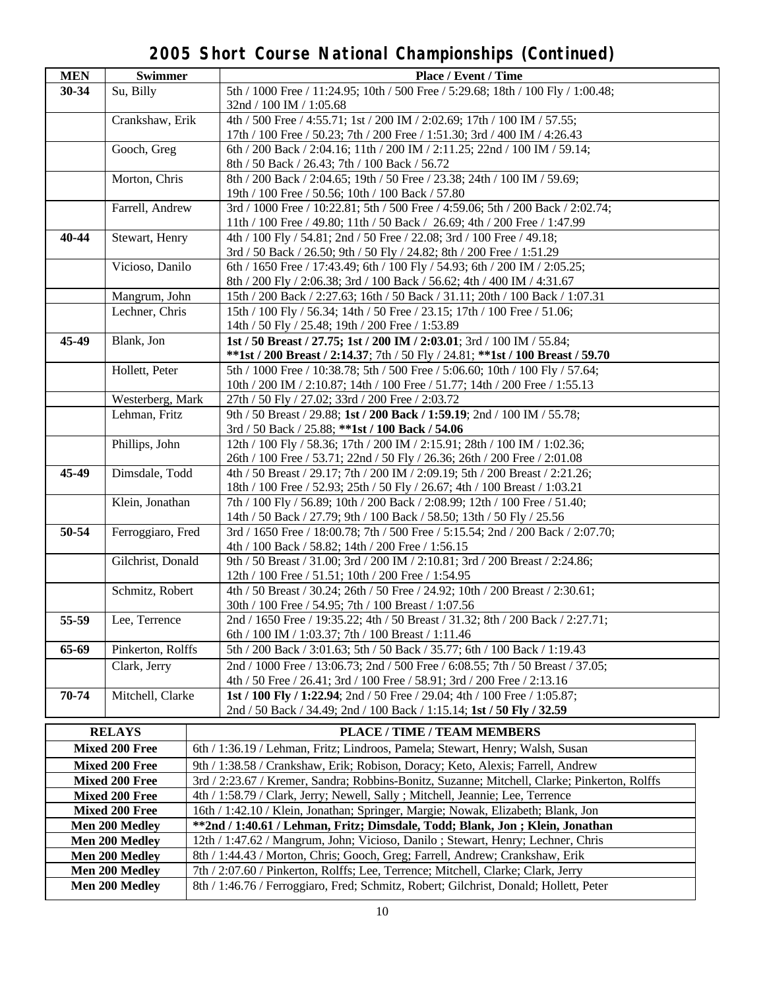### **2005 Short Course National Championships (Continued)**

| <b>MEN</b>            | <b>Swimmer</b>        | Place / Event / Time                                                                                                                  |  |
|-----------------------|-----------------------|---------------------------------------------------------------------------------------------------------------------------------------|--|
| 30-34                 | Su, Billy             | 5th / 1000 Free / 11:24.95; 10th / 500 Free / 5:29.68; 18th / 100 Fly / 1:00.48;                                                      |  |
|                       |                       | 32nd / 100 IM / 1:05.68                                                                                                               |  |
|                       | Crankshaw, Erik       | 4th / 500 Free / 4:55.71; 1st / 200 IM / 2:02.69; 17th / 100 IM / 57.55;                                                              |  |
|                       |                       | 17th / 100 Free / 50.23; 7th / 200 Free / 1:51.30; 3rd / 400 IM / 4:26.43                                                             |  |
|                       | Gooch, Greg           | 6th / 200 Back / 2:04.16; 11th / 200 IM / 2:11.25; 22nd / 100 IM / 59.14;                                                             |  |
|                       |                       | 8th / 50 Back / 26.43; 7th / 100 Back / 56.72                                                                                         |  |
|                       | Morton, Chris         | 8th / 200 Back / 2:04.65; 19th / 50 Free / 23.38; 24th / 100 IM / 59.69;                                                              |  |
|                       |                       | 19th / 100 Free / 50.56; 10th / 100 Back / 57.80                                                                                      |  |
|                       | Farrell, Andrew       | 3rd / 1000 Free / 10:22.81; 5th / 500 Free / 4:59.06; 5th / 200 Back / 2:02.74;                                                       |  |
|                       |                       | 11th / 100 Free / 49.80; 11th / 50 Back / 26.69; 4th / 200 Free / 1:47.99                                                             |  |
| 40-44                 | Stewart, Henry        | 4th / 100 Fly / 54.81; 2nd / 50 Free / 22.08; 3rd / 100 Free / 49.18;                                                                 |  |
|                       |                       | 3rd / 50 Back / 26.50; 9th / 50 Fly / 24.82; 8th / 200 Free / 1:51.29                                                                 |  |
|                       |                       |                                                                                                                                       |  |
|                       | Vicioso, Danilo       | 6th / 1650 Free / 17:43.49; 6th / 100 Fly / 54.93; 6th / 200 IM / 2:05.25;                                                            |  |
|                       |                       | 8th / 200 Fly / 2:06.38; 3rd / 100 Back / 56.62; 4th / 400 IM / 4:31.67                                                               |  |
|                       | Mangrum, John         | 15th / 200 Back / 2:27.63; 16th / 50 Back / 31.11; 20th / 100 Back / 1:07.31                                                          |  |
|                       | Lechner, Chris        | 15th / 100 Fly / 56.34; 14th / 50 Free / 23.15; 17th / 100 Free / 51.06;                                                              |  |
|                       |                       | 14th / 50 Fly / 25.48; 19th / 200 Free / 1:53.89                                                                                      |  |
| 45-49                 | Blank, Jon            | 1st / 50 Breast / 27.75; 1st / 200 IM / 2:03.01; 3rd / 100 IM / 55.84;                                                                |  |
|                       |                       | **1st / 200 Breast / 2:14.37; 7th / 50 Fly / 24.81; **1st / 100 Breast / 59.70                                                        |  |
|                       | Hollett, Peter        | 5th / 1000 Free / 10:38.78; 5th / 500 Free / 5:06.60; 10th / 100 Fly / 57.64;                                                         |  |
|                       |                       | 10th / 200 IM / 2:10.87; 14th / 100 Free / 51.77; 14th / 200 Free / 1:55.13                                                           |  |
|                       | Westerberg, Mark      | 27th / 50 Fly / 27.02; 33rd / 200 Free / 2:03.72                                                                                      |  |
|                       | Lehman, Fritz         | 9th / 50 Breast / 29.88; 1st / 200 Back / 1:59.19; 2nd / 100 IM / 55.78;                                                              |  |
|                       |                       | 3rd / 50 Back / 25.88; ** 1st / 100 Back / 54.06                                                                                      |  |
|                       | Phillips, John        | 12th / 100 Fly / 58.36; 17th / 200 IM / 2:15.91; 28th / 100 IM / 1:02.36;                                                             |  |
|                       |                       | 26th / 100 Free / 53.71; 22nd / 50 Fly / 26.36; 26th / 200 Free / 2:01.08                                                             |  |
| 45-49                 | Dimsdale, Todd        | 4th / 50 Breast / 29.17; 7th / 200 IM / 2:09.19; 5th / 200 Breast / 2:21.26;                                                          |  |
|                       |                       | 18th / 100 Free / 52.93; 25th / 50 Fly / 26.67; 4th / 100 Breast / 1:03.21                                                            |  |
|                       | Klein, Jonathan       | 7th / 100 Fly / 56.89; 10th / 200 Back / 2:08.99; 12th / 100 Free / 51.40;                                                            |  |
|                       |                       | 14th / 50 Back / 27.79; 9th / 100 Back / 58.50; 13th / 50 Fly / 25.56                                                                 |  |
| 50-54                 | Ferroggiaro, Fred     | 3rd / 1650 Free / 18:00.78; 7th / 500 Free / 5:15.54; 2nd / 200 Back / 2:07.70;                                                       |  |
|                       |                       | 4th / 100 Back / 58.82; 14th / 200 Free / 1:56.15                                                                                     |  |
|                       | Gilchrist, Donald     | 9th / 50 Breast / 31.00; 3rd / 200 IM / 2:10.81; 3rd / 200 Breast / 2:24.86;                                                          |  |
|                       |                       | 12th / 100 Free / 51.51; 10th / 200 Free / 1:54.95                                                                                    |  |
|                       | Schmitz, Robert       | 4th / 50 Breast / 30.24; 26th / 50 Free / 24.92; 10th / 200 Breast / 2:30.61;                                                         |  |
|                       |                       |                                                                                                                                       |  |
|                       |                       | 30th / 100 Free / 54.95; 7th / 100 Breast / 1:07.56<br>2nd / 1650 Free / 19:35.22: 4th / 50 Breast / 31.32: 8th / 200 Back / 2:27.71: |  |
| 55-59                 | Lee, Terrence         |                                                                                                                                       |  |
|                       |                       | 6th / 100 IM / 1:03.37; 7th / 100 Breast / 1:11.46                                                                                    |  |
| 65-69                 | Pinkerton, Rolffs     | 5th / 200 Back / 3:01.63; 5th / 50 Back / 35.77; 6th / 100 Back / 1:19.43                                                             |  |
|                       | Clark, Jerry          | 2nd / 1000 Free / 13:06.73; 2nd / 500 Free / 6:08.55; 7th / 50 Breast / 37.05;                                                        |  |
|                       |                       | 4th / 50 Free / 26.41; 3rd / 100 Free / 58.91; 3rd / 200 Free / 2:13.16                                                               |  |
| 70-74                 | Mitchell, Clarke      | 1st / 100 Fly / 1:22.94; 2nd / 50 Free / 29.04; 4th / 100 Free / 1:05.87;                                                             |  |
|                       |                       | 2nd / 50 Back / 34.49; 2nd / 100 Back / 1:15.14; 1st / 50 Fly / 32.59                                                                 |  |
|                       | <b>RELAYS</b>         | PLACE / TIME / TEAM MEMBERS                                                                                                           |  |
|                       |                       | 6th / 1:36.19 / Lehman, Fritz; Lindroos, Pamela; Stewart, Henry; Walsh, Susan                                                         |  |
| <b>Mixed 200 Free</b> |                       |                                                                                                                                       |  |
| <b>Mixed 200 Free</b> |                       | 9th / 1:38.58 / Crankshaw, Erik; Robison, Doracy; Keto, Alexis; Farrell, Andrew                                                       |  |
| <b>Mixed 200 Free</b> |                       | 3rd / 2:23.67 / Kremer, Sandra; Robbins-Bonitz, Suzanne; Mitchell, Clarke; Pinkerton, Rolffs                                          |  |
|                       | <b>Mixed 200 Free</b> | 4th / 1:58.79 / Clark, Jerry; Newell, Sally; Mitchell, Jeannie; Lee, Terrence                                                         |  |
|                       | <b>Mixed 200 Free</b> | 16th / 1:42.10 / Klein, Jonathan; Springer, Margie; Nowak, Elizabeth; Blank, Jon                                                      |  |
|                       | Men 200 Medley        | **2nd / 1:40.61 / Lehman, Fritz; Dimsdale, Todd; Blank, Jon; Klein, Jonathan                                                          |  |
|                       | Men 200 Medley        | 12th / 1:47.62 / Mangrum, John; Vicioso, Danilo; Stewart, Henry; Lechner, Chris                                                       |  |
|                       | Men 200 Medley        | 8th / 1:44.43 / Morton, Chris; Gooch, Greg; Farrell, Andrew; Crankshaw, Erik                                                          |  |
| Men 200 Medley        |                       | 7th / 2:07.60 / Pinkerton, Rolffs: Lee, Terrence: Mitchell, Clarke: Clark, Jerry                                                      |  |

**Men 200 Medley** 7th / 2:07.60 / Pinkerton, Rolffs; Lee, Terrence; Mitchell, Clarke; Clark, Jerry Men 200 Medley 8th / 1:46.76 / Ferroggiaro, Fred; Schmitz, Robert; Gilchrist, Donald; Hollett, Peter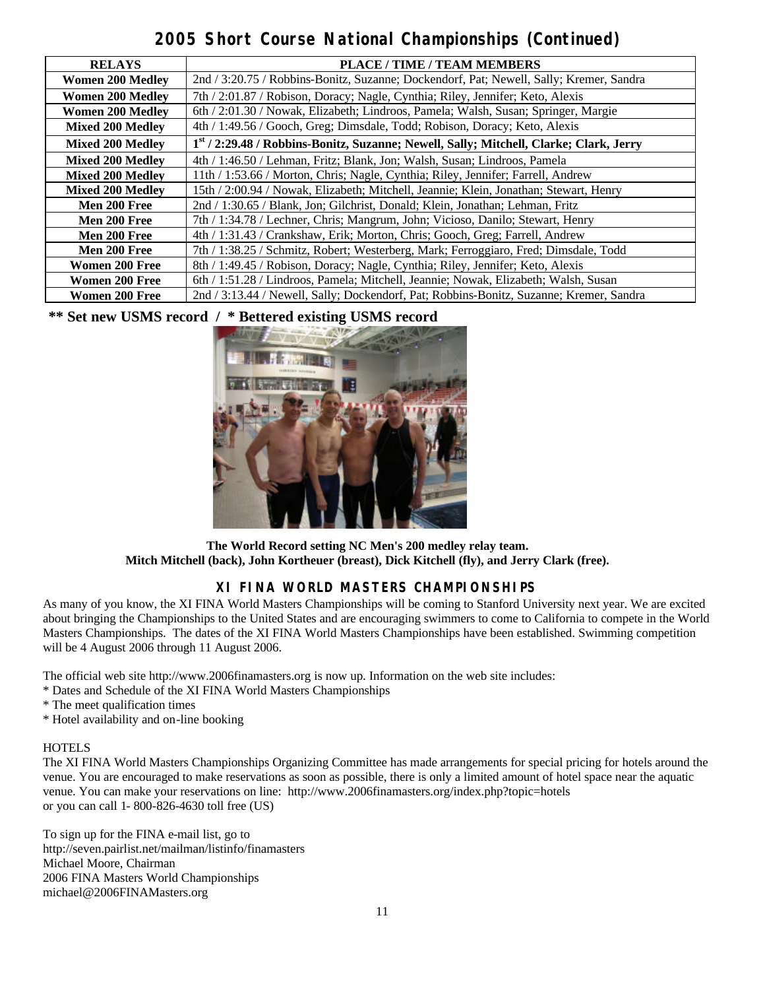### **2005 Short Course National Championships (Continued)**

| <b>RELAYS</b>           | <b>PLACE / TIME / TEAM MEMBERS</b>                                                      |
|-------------------------|-----------------------------------------------------------------------------------------|
| <b>Women 200 Medley</b> | 2nd / 3:20.75 / Robbins-Bonitz, Suzanne; Dockendorf, Pat; Newell, Sally; Kremer, Sandra |
| <b>Women 200 Medley</b> | 7th / 2:01.87 / Robison, Doracy; Nagle, Cynthia; Riley, Jennifer; Keto, Alexis          |
| <b>Women 200 Medley</b> | 6th / 2:01.30 / Nowak, Elizabeth; Lindroos, Pamela; Walsh, Susan; Springer, Margie      |
| <b>Mixed 200 Medley</b> | 4th / 1:49.56 / Gooch, Greg; Dimsdale, Todd; Robison, Doracy; Keto, Alexis              |
| <b>Mixed 200 Medley</b> | 1st / 2:29.48 / Robbins-Bonitz, Suzanne; Newell, Sally; Mitchell, Clarke; Clark, Jerry  |
| <b>Mixed 200 Medley</b> | 4th / 1:46.50 / Lehman, Fritz; Blank, Jon; Walsh, Susan; Lindroos, Pamela               |
| <b>Mixed 200 Medley</b> | 11th / 1:53.66 / Morton, Chris; Nagle, Cynthia; Riley, Jennifer; Farrell, Andrew        |
| <b>Mixed 200 Medlev</b> | 15th / 2:00.94 / Nowak, Elizabeth; Mitchell, Jeannie; Klein, Jonathan; Stewart, Henry   |
| Men 200 Free            | 2nd / 1:30.65 / Blank, Jon; Gilchrist, Donald; Klein, Jonathan; Lehman, Fritz           |
| Men 200 Free            | 7th / 1:34.78 / Lechner, Chris; Mangrum, John; Vicioso, Danilo; Stewart, Henry          |
| Men 200 Free            | 4th / 1:31.43 / Crankshaw, Erik; Morton, Chris; Gooch, Greg; Farrell, Andrew            |
| Men 200 Free            | 7th / 1:38.25 / Schmitz, Robert; Westerberg, Mark; Ferroggiaro, Fred; Dimsdale, Todd    |
| <b>Women 200 Free</b>   | 8th / 1:49.45 / Robison, Doracy; Nagle, Cynthia; Riley, Jennifer; Keto, Alexis          |
| <b>Women 200 Free</b>   | 6th / 1:51.28 / Lindroos, Pamela; Mitchell, Jeannie; Nowak, Elizabeth; Walsh, Susan     |
| <b>Women 200 Free</b>   | 2nd / 3:13.44 / Newell, Sally; Dockendorf, Pat; Robbins-Bonitz, Suzanne; Kremer, Sandra |

**\*\* Set new USMS record / \* Bettered existing USMS record**



**The World Record setting NC Men's 200 medley relay team. Mitch Mitchell (back), John Kortheuer (breast), Dick Kitchell (fly), and Jerry Clark (free).** 

### **XI FINA WORLD MASTERS CHAMPIONSHIPS**

As many of you know, the XI FINA World Masters Championships will be coming to Stanford University next year. We are excited about bringing the Championships to the United States and are encouraging swimmers to come to California to compete in the World Masters Championships. The dates of the XI FINA World Masters Championships have been established. Swimming competition will be 4 August 2006 through 11 August 2006.

The official web site http://www.2006finamasters.org is now up. Information on the web site includes:

- \* Dates and Schedule of the XI FINA World Masters Championships
- \* The meet qualification times

\* Hotel availability and on-line booking

#### **HOTELS**

The XI FINA World Masters Championships Organizing Committee has made arrangements for special pricing for hotels around the venue. You are encouraged to make reservations as soon as possible, there is only a limited amount of hotel space near the aquatic venue. You can make your reservations on line: http://www.2006finamasters.org/index.php?topic=hotels or you can call 1- 800-826-4630 toll free (US)

To sign up for the FINA e-mail list, go to http://seven.pairlist.net/mailman/listinfo/finamasters Michael Moore, Chairman 2006 FINA Masters World Championships michael@2006FINAMasters.org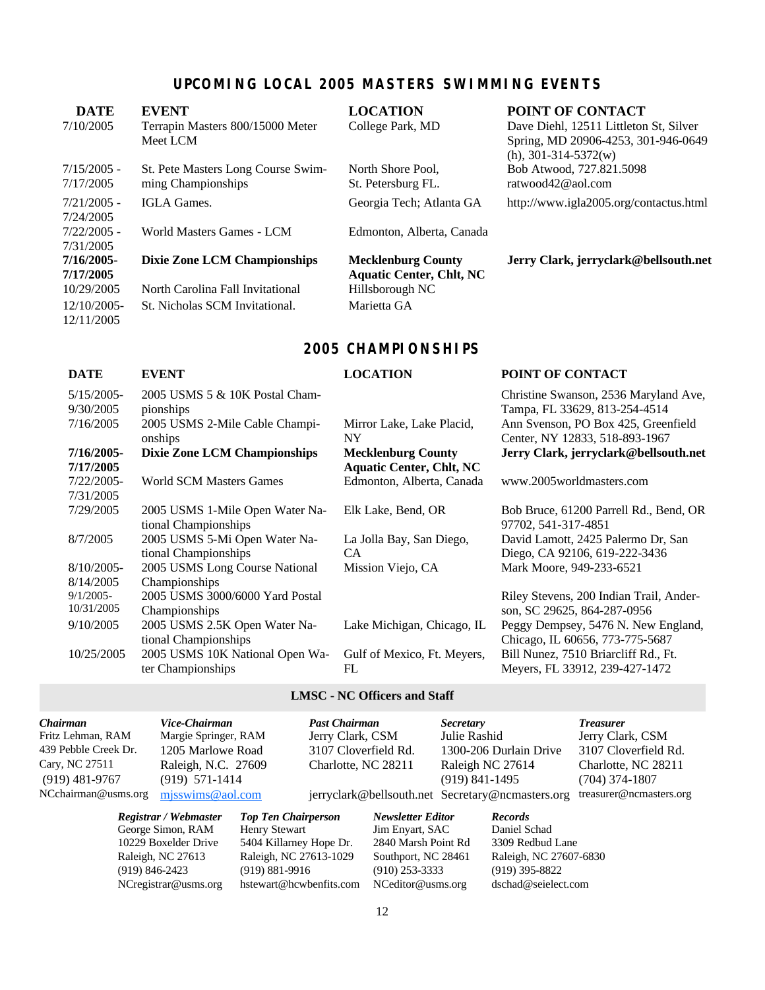### **UPCOMING LOCAL 2005 MASTERS SWIMMING EVENTS**

| <b>DATE</b>   | <b>EVENT</b>                        | <b>LOCATION</b>                 | POINT OF CONTACT                                               |
|---------------|-------------------------------------|---------------------------------|----------------------------------------------------------------|
| 7/10/2005     | Terrapin Masters 800/15000 Meter    | College Park, MD                | Dave Diehl, 12511 Littleton St, Silver                         |
|               | Meet LCM                            |                                 | Spring, MD 20906-4253, 301-946-0649<br>$(h)$ , 301-314-5372(w) |
| $7/15/2005$ - | St. Pete Masters Long Course Swim-  | North Shore Pool,               | Bob Atwood, 727.821.5098                                       |
| 7/17/2005     | ming Championships                  | St. Petersburg FL.              | ratwood $42@$ aol.com                                          |
| $7/21/2005$ - | IGLA Games.                         | Georgia Tech; Atlanta GA        | http://www.igla2005.org/contactus.html                         |
| 7/24/2005     |                                     |                                 |                                                                |
| $7/22/2005$ - | World Masters Games - LCM           | Edmonton, Alberta, Canada       |                                                                |
| 7/31/2005     |                                     |                                 |                                                                |
| 7/16/2005-    | <b>Dixie Zone LCM Championships</b> | <b>Mecklenburg County</b>       | Jerry Clark, jerryclark@bellsouth.net                          |
| 7/17/2005     |                                     | <b>Aquatic Center, Chlt, NC</b> |                                                                |
| 10/29/2005    | North Carolina Fall Invitational    | Hillsborough NC                 |                                                                |
| 12/10/2005-   | St. Nicholas SCM Invitational.      | Marietta GA                     |                                                                |
| 12/11/2005    |                                     |                                 |                                                                |
|               |                                     |                                 |                                                                |

#### **2005 CHAMPIONSHIPS**

| <b>DATE</b>                | <b>EVENT</b>                                            | <b>LOCATION</b>                  | <b>POINT OF CONTACT</b>                                                |
|----------------------------|---------------------------------------------------------|----------------------------------|------------------------------------------------------------------------|
| $5/15/2005$ -<br>9/30/2005 | 2005 USMS 5 & 10K Postal Cham-<br>pionships             |                                  | Christine Swanson, 2536 Maryland Ave,<br>Tampa, FL 33629, 813-254-4514 |
| 7/16/2005                  | 2005 USMS 2-Mile Cable Champi-<br>onships               | Mirror Lake, Lake Placid,<br>NY. | Ann Svenson, PO Box 425, Greenfield<br>Center, NY 12833, 518-893-1967  |
| $7/16/2005$ -              | <b>Dixie Zone LCM Championships</b>                     | <b>Mecklenburg County</b>        | Jerry Clark, jerryclark@bellsouth.net                                  |
| 7/17/2005                  |                                                         | <b>Aquatic Center, Chlt, NC</b>  |                                                                        |
| $7/22/2005$ -              | World SCM Masters Games                                 | Edmonton, Alberta, Canada        | www.2005worldmasters.com                                               |
| 7/31/2005                  |                                                         |                                  |                                                                        |
| 7/29/2005                  | 2005 USMS 1-Mile Open Water Na-<br>tional Championships | Elk Lake, Bend, OR               | Bob Bruce, 61200 Parrell Rd., Bend, OR<br>97702, 541-317-4851          |
| 8/7/2005                   | 2005 USMS 5-Mi Open Water Na-                           | La Jolla Bay, San Diego,         | David Lamott, 2425 Palermo Dr, San                                     |
|                            | tional Championships                                    | CA                               | Diego, CA 92106, 619-222-3436                                          |
| $8/10/2005$ -              | 2005 USMS Long Course National                          | Mission Viejo, CA                | Mark Moore, 949-233-6521                                               |
| 8/14/2005                  | Championships                                           |                                  |                                                                        |
| $9/1/2005$ -               | 2005 USMS 3000/6000 Yard Postal                         |                                  | Riley Stevens, 200 Indian Trail, Ander-                                |
| 10/31/2005                 | Championships                                           |                                  | son, SC 29625, 864-287-0956                                            |
| 9/10/2005                  | 2005 USMS 2.5K Open Water Na-                           | Lake Michigan, Chicago, IL       | Peggy Dempsey, 5476 N. New England,                                    |
|                            | tional Championships                                    |                                  | Chicago, IL 60656, 773-775-5687                                        |
| 10/25/2005                 | 2005 USMS 10K National Open Wa-                         | Gulf of Mexico, Ft. Meyers,      | Bill Nunez, 7510 Briarcliff Rd., Ft.                                   |
|                            | ter Championships                                       | FL                               | Meyers, FL 33912, 239-427-1472                                         |
|                            |                                                         |                                  |                                                                        |

#### **LMSC - NC Officers and Staff**

| Chairman<br>Fritz Lehman, RAM<br>439 Pebble Creek Dr.<br>Cary, NC 27511<br>$(919)$ 481-9767 | Vice-Chairman<br>Margie Springer, RAM<br>1205 Marlowe Road<br>Raleigh, N.C. 27609<br>$(919)$ 571-1414 |                                                                         | <b>Past Chairman</b><br>Jerry Clark, CSM<br>3107 Cloverfield Rd.<br>Charlotte, NC 28211 |                                                              | <b>Secretary</b><br>Julie Rashid<br>Raleigh NC 27614<br>$(919)$ 841-1495 | 1300-206 Durlain Drive                                         | <b>Treasurer</b><br>Jerry Clark, CSM<br>3107 Cloverfield Rd.<br>Charlotte, NC 28211<br>$(704)$ 374-1807 |
|---------------------------------------------------------------------------------------------|-------------------------------------------------------------------------------------------------------|-------------------------------------------------------------------------|-----------------------------------------------------------------------------------------|--------------------------------------------------------------|--------------------------------------------------------------------------|----------------------------------------------------------------|---------------------------------------------------------------------------------------------------------|
| NCchairman@usms.org                                                                         | $m$ jsswims@aol.com                                                                                   |                                                                         |                                                                                         |                                                              |                                                                          | jerryclark@bellsouth.net Secretary@ncmasters.org               | treasurer@ncmasters.org                                                                                 |
|                                                                                             | Registrar / Webmaster<br>George Simon, RAM                                                            | <b>Top Ten Chairperson</b><br><b>Henry Stewart</b>                      |                                                                                         | <b>Newsletter Editor</b><br>Jim Enyart, SAC                  |                                                                          | <b>Records</b><br>Daniel Schad                                 |                                                                                                         |
| $(919) 846 - 2423$                                                                          | 10229 Boxelder Drive<br>Raleigh, NC 27613                                                             | 5404 Killarney Hope Dr.<br>Raleigh, NC 27613-1029<br>$(919) 881 - 9916$ |                                                                                         | 2840 Marsh Point Rd<br>Southport, NC 28461<br>(910) 253-3333 |                                                                          | 3309 Redbud Lane<br>Raleigh, NC 27607-6830<br>$(919)$ 395-8822 |                                                                                                         |

NCregistrar@usms.org hstewart@hcwbenfits.com NCeditor@usms.org dschad@seielect.com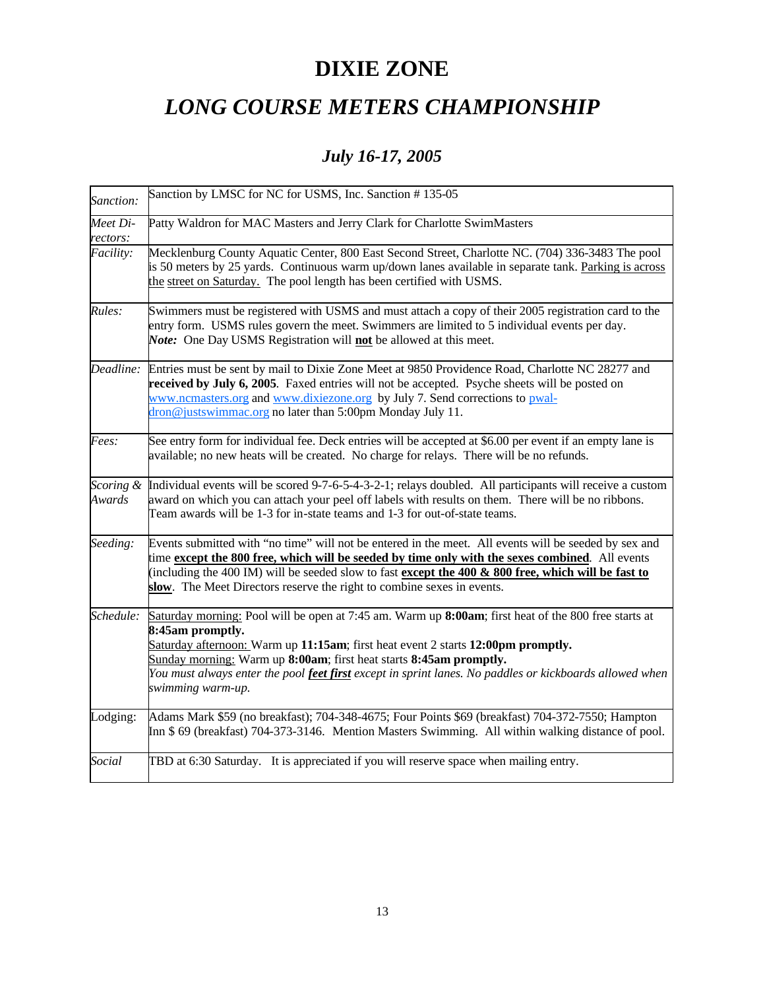## **DIXIE ZONE**

### *LONG COURSE METERS CHAMPIONSHIP*

### *July 16-17, 2005*

| Sanction:            | Sanction by LMSC for NC for USMS, Inc. Sanction #135-05                                                                                                                                                                                                                                                                                                                                                            |
|----------------------|--------------------------------------------------------------------------------------------------------------------------------------------------------------------------------------------------------------------------------------------------------------------------------------------------------------------------------------------------------------------------------------------------------------------|
| Meet Di-<br>rectors: | Patty Waldron for MAC Masters and Jerry Clark for Charlotte SwimMasters                                                                                                                                                                                                                                                                                                                                            |
| Facility:            | Mecklenburg County Aquatic Center, 800 East Second Street, Charlotte NC. (704) 336-3483 The pool<br>is 50 meters by 25 yards. Continuous warm up/down lanes available in separate tank. Parking is across<br>the street on Saturday. The pool length has been certified with USMS.                                                                                                                                 |
| Rules:               | Swimmers must be registered with USMS and must attach a copy of their 2005 registration card to the<br>entry form. USMS rules govern the meet. Swimmers are limited to 5 individual events per day.<br>Note: One Day USMS Registration will not be allowed at this meet.                                                                                                                                           |
| Deadline:            | Entries must be sent by mail to Dixie Zone Meet at 9850 Providence Road, Charlotte NC 28277 and<br>received by July 6, 2005. Faxed entries will not be accepted. Psyche sheets will be posted on<br>www.ncmasters.org and www.dixiezone.org by July 7. Send corrections to pwal-<br>dron@justswimmac.org no later than 5:00pm Monday July 11.                                                                      |
| <i>Fees:</i>         | See entry form for individual fee. Deck entries will be accepted at \$6.00 per event if an empty lane is<br>available; no new heats will be created. No charge for relays. There will be no refunds.                                                                                                                                                                                                               |
| Scoring &<br>Awards  | Individual events will be scored 9-7-6-5-4-3-2-1; relays doubled. All participants will receive a custom<br>award on which you can attach your peel off labels with results on them. There will be no ribbons.<br>Team awards will be 1-3 for in-state teams and 1-3 for out-of-state teams.                                                                                                                       |
| Seeding:             | Events submitted with "no time" will not be entered in the meet. All events will be seeded by sex and<br>time except the 800 free, which will be seeded by time only with the sexes combined. All events<br>(including the 400 IM) will be seeded slow to fast except the 400 $\&$ 800 free, which will be fast to<br>slow. The Meet Directors reserve the right to combine sexes in events.                       |
| Schedule:            | Saturday morning: Pool will be open at 7:45 am. Warm up 8:00am; first heat of the 800 free starts at<br>8:45am promptly.<br>Saturday afternoon: Warm up 11:15am; first heat event 2 starts 12:00pm promptly.<br>Sunday morning: Warm up 8:00am; first heat starts 8:45am promptly.<br>You must always enter the pool feet first except in sprint lanes. No paddles or kickboards allowed when<br>swimming warm-up. |
| Lodging:             | Adams Mark \$59 (no breakfast); 704-348-4675; Four Points \$69 (breakfast) 704-372-7550; Hampton<br>Inn \$69 (breakfast) 704-373-3146. Mention Masters Swimming. All within walking distance of pool.                                                                                                                                                                                                              |
| Social               | TBD at 6:30 Saturday. It is appreciated if you will reserve space when mailing entry.                                                                                                                                                                                                                                                                                                                              |